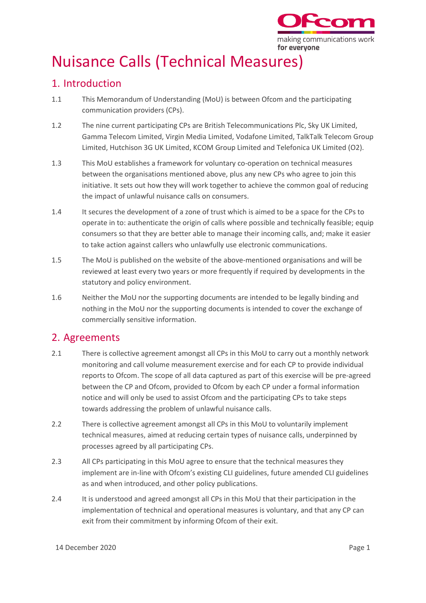

## Nuisance Calls (Technical Measures)

## 1. Introduction

- 1.1 This Memorandum of Understanding (MoU) is between Ofcom and the participating communication providers (CPs).
- 1.2 The nine current participating CPs are British Telecommunications Plc, Sky UK Limited, Gamma Telecom Limited, Virgin Media Limited, Vodafone Limited, TalkTalk Telecom Group Limited, Hutchison 3G UK Limited, KCOM Group Limited and Telefonica UK Limited (O2).
- 1.3 This MoU establishes a framework for voluntary co-operation on technical measures between the organisations mentioned above, plus any new CPs who agree to join this initiative. It sets out how they will work together to achieve the common goal of reducing the impact of unlawful nuisance calls on consumers.
- 1.4 It secures the development of a zone of trust which is aimed to be a space for the CPs to operate in to: authenticate the origin of calls where possible and technically feasible; equip consumers so that they are better able to manage their incoming calls, and; make it easier to take action against callers who unlawfully use electronic communications.
- 1.5 The MoU is published on the website of the above-mentioned organisations and will be reviewed at least every two years or more frequently if required by developments in the statutory and policy environment.
- 1.6 Neither the MoU nor the supporting documents are intended to be legally binding and nothing in the MoU nor the supporting documents is intended to cover the exchange of commercially sensitive information.

## 2. Agreements

- 2.1 There is collective agreement amongst all CPs in this MoU to carry out a monthly network monitoring and call volume measurement exercise and for each CP to provide individual reports to Ofcom. The scope of all data captured as part of this exercise will be pre-agreed between the CP and Ofcom, provided to Ofcom by each CP under a formal information notice and will only be used to assist Ofcom and the participating CPs to take steps towards addressing the problem of unlawful nuisance calls.
- 2.2 There is collective agreement amongst all CPs in this MoU to voluntarily implement technical measures, aimed at reducing certain types of nuisance calls, underpinned by processes agreed by all participating CPs.
- 2.3 All CPs participating in this MoU agree to ensure that the technical measures they implement are in-line with Ofcom's existing CLI guidelines, future amended CLI guidelines as and when introduced, and other policy publications.
- 2.4 It is understood and agreed amongst all CPs in this MoU that their participation in the implementation of technical and operational measures is voluntary, and that any CP can exit from their commitment by informing Ofcom of their exit.